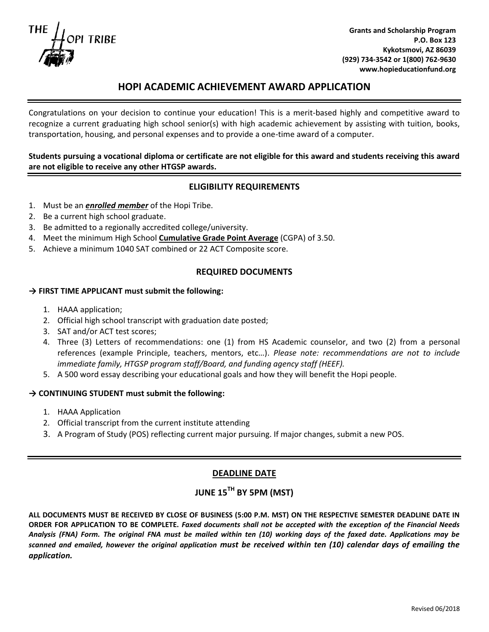**TRIBE** 

**Grants and Scholarship Program P.O. Box 123 Kykotsmovi, AZ 86039 (929) 734-3542 or 1(800) 762-9630 www.hopieducationfund.org**

# **HOPI ACADEMIC ACHIEVEMENT AWARD APPLICATION**

Congratulations on your decision to continue your education! This is a merit-based highly and competitive award to recognize a current graduating high school senior(s) with high academic achievement by assisting with tuition, books, transportation, housing, and personal expenses and to provide a one-time award of a computer.

## **Students pursuing a vocational diploma or certificate are not eligible for this award and students receiving this award are not eligible to receive any other HTGSP awards.**

## **ELIGIBILITY REQUIREMENTS**

- 1. Must be an *enrolled member* of the Hopi Tribe.
- 2. Be a current high school graduate.
- 3. Be admitted to a regionally accredited college/university.
- 4. Meet the minimum High School **Cumulative Grade Point Average** (CGPA) of 3.50.
- 5. Achieve a minimum 1040 SAT combined or 22 ACT Composite score.

#### **REQUIRED DOCUMENTS**

#### **→ FIRST TIME APPLICANT must submit the following:**

- 1. HAAA application;
- 2. Official high school transcript with graduation date posted;
- 3. SAT and/or ACT test scores;
- 4. Three (3) Letters of recommendations: one (1) from HS Academic counselor, and two (2) from a personal references (example Principle, teachers, mentors, etc…). *Please note: recommendations are not to include immediate family, HTGSP program staff/Board, and funding agency staff (HEEF).*
- 5. A 500 word essay describing your educational goals and how they will benefit the Hopi people.

#### **→ CONTINUING STUDENT must submit the following:**

- 1. HAAA Application
- 2. Official transcript from the current institute attending
- 3. A Program of Study (POS) reflecting current major pursuing. If major changes, submit a new POS.

#### **DEADLINE DATE**

# **JUNE 15TH BY 5PM (MST)**

**ALL DOCUMENTS MUST BE RECEIVED BY CLOSE OF BUSINESS (5:00 P.M. MST) ON THE RESPECTIVE SEMESTER DEADLINE DATE IN ORDER FOR APPLICATION TO BE COMPLETE.** *Faxed documents shall not be accepted with the exception of the Financial Needs Analysis (FNA) Form. The original FNA must be mailed within ten (10) working days of the faxed date. Applications may be scanned and emailed, however the original application must be received within ten (10) calendar days of emailing the application.*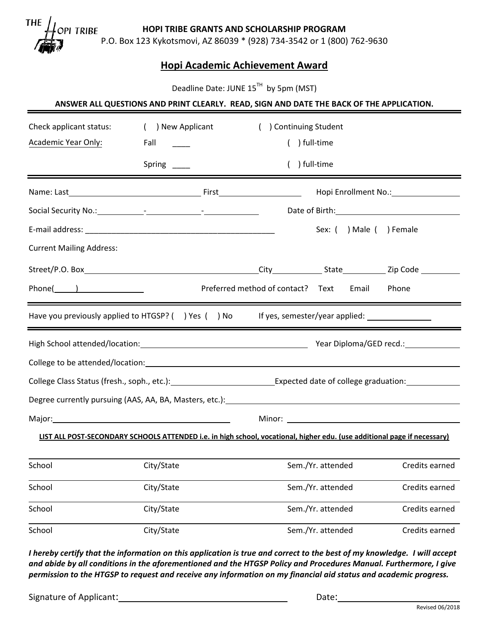**THE** PI TRIBE

**HOPI TRIBE GRANTS AND SCHOLARSHIP PROGRAM** 

P.O. Box 123 Kykotsmovi, AZ 86039 \* (928) 734-3542 or 1 (800) 762-9630

# **Hopi Academic Achievement Award**

Deadline Date: JUNE 15<sup>TH</sup> by 5pm (MST)

#### **ANSWER ALL QUESTIONS AND PRINT CLEARLY. READ, SIGN AND DATE THE BACK OF THE APPLICATION.**

| Check applicant status:                                                                                                  | ( ) New Applicant                                                                              |  | ) Continuing Student                      |                   |                          |                                                                                                                                                                                                                                |
|--------------------------------------------------------------------------------------------------------------------------|------------------------------------------------------------------------------------------------|--|-------------------------------------------|-------------------|--------------------------|--------------------------------------------------------------------------------------------------------------------------------------------------------------------------------------------------------------------------------|
| Academic Year Only:                                                                                                      | Fall                                                                                           |  |                                           | ) full-time       |                          |                                                                                                                                                                                                                                |
|                                                                                                                          | Spring ______                                                                                  |  |                                           | ) full-time       |                          |                                                                                                                                                                                                                                |
|                                                                                                                          |                                                                                                |  |                                           |                   |                          | Hopi Enrollment No.: 1999                                                                                                                                                                                                      |
|                                                                                                                          |                                                                                                |  |                                           |                   |                          | Date of Birth: The Contract of Birth:                                                                                                                                                                                          |
|                                                                                                                          |                                                                                                |  |                                           |                   | Sex: ( ) Male ( ) Female |                                                                                                                                                                                                                                |
| <b>Current Mailing Address:</b>                                                                                          |                                                                                                |  |                                           |                   |                          |                                                                                                                                                                                                                                |
|                                                                                                                          |                                                                                                |  |                                           |                   |                          |                                                                                                                                                                                                                                |
| $Phone(\_)$                                                                                                              |                                                                                                |  | Preferred method of contact? Text         |                   | Email                    | Phone                                                                                                                                                                                                                          |
| Have you previously applied to HTGSP? () Yes () No                                                                       |                                                                                                |  | If yes, semester/year applied: $\sqrt{ }$ |                   |                          |                                                                                                                                                                                                                                |
|                                                                                                                          |                                                                                                |  |                                           |                   |                          |                                                                                                                                                                                                                                |
|                                                                                                                          |                                                                                                |  |                                           |                   |                          |                                                                                                                                                                                                                                |
|                                                                                                                          | College Class Status (fresh., soph., etc.): College Class Expected date of college graduation: |  |                                           |                   |                          |                                                                                                                                                                                                                                |
|                                                                                                                          |                                                                                                |  |                                           |                   |                          |                                                                                                                                                                                                                                |
| Major: Major: Major: Major: Major: Major: Major: Major: Major: Major: Major: Major: Major: Major: Major: Major           |                                                                                                |  |                                           |                   |                          | Minor: We have a state of the state of the state of the state of the state of the state of the state of the state of the state of the state of the state of the state of the state of the state of the state of the state of t |
| LIST ALL POST-SECONDARY SCHOOLS ATTENDED i.e. in high school, vocational, higher edu. (use additional page if necessary) |                                                                                                |  |                                           |                   |                          |                                                                                                                                                                                                                                |
| School                                                                                                                   | City/State                                                                                     |  |                                           | Sem./Yr. attended |                          | Credits earned                                                                                                                                                                                                                 |
| School                                                                                                                   | City/State                                                                                     |  |                                           | Sem./Yr. attended |                          | Credits earned                                                                                                                                                                                                                 |
| School                                                                                                                   | City/State                                                                                     |  |                                           | Sem./Yr. attended |                          | Credits earned                                                                                                                                                                                                                 |

*I hereby certify that the information on this application is true and correct to the best of my knowledge. I will accept and abide by all conditions in the aforementioned and the HTGSP Policy and Procedures Manual. Furthermore, I give permission to the HTGSP to request and receive any information on my financial aid status and academic progress.*

School City/State City/State Sem./Yr. attended Credits earned

Signature of Applicant: Date: Date: Date: Date: